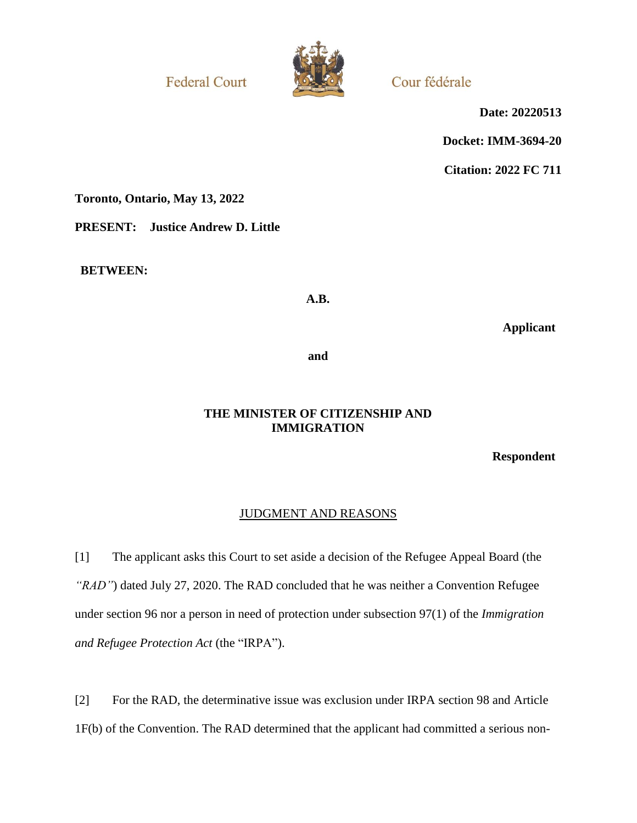**Federal Court** 



Cour fédérale

**Date: 20220513**

**Docket: IMM-3694-20**

**Citation: 2022 FC 711**

**Toronto, Ontario, May 13, 2022**

**PRESENT: Justice Andrew D. Little**

**BETWEEN:**

**A.B.**

**Applicant**

**and**

## **THE MINISTER OF CITIZENSHIP AND IMMIGRATION**

**Respondent**

# JUDGMENT AND REASONS

[1] The applicant asks this Court to set aside a decision of the Refugee Appeal Board (the *"RAD"*) dated July 27, 2020. The RAD concluded that he was neither a Convention Refugee under section 96 nor a person in need of protection under subsection 97(1) of the *Immigration and Refugee Protection Act* (the "IRPA").

[2] For the RAD, the determinative issue was exclusion under IRPA section 98 and Article 1F(b) of the Convention. The RAD determined that the applicant had committed a serious non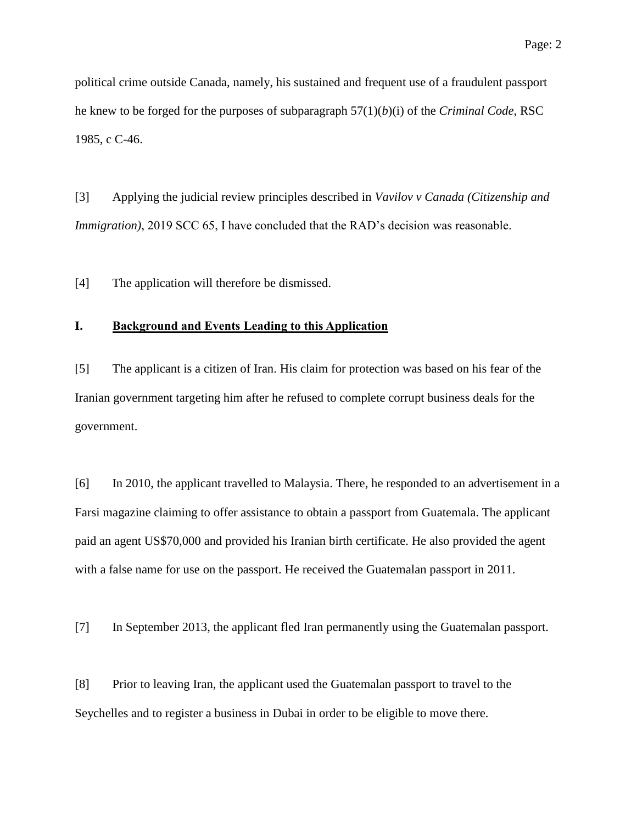political crime outside Canada, namely, his sustained and frequent use of a fraudulent passport he knew to be forged for the purposes of subparagraph 57(1)(*b*)(i) of the *Criminal Code*, RSC 1985, c C-46.

[3] Applying the judicial review principles described in *Vavilov v Canada (Citizenship and Immigration*), 2019 SCC 65, I have concluded that the RAD's decision was reasonable.

[4] The application will therefore be dismissed.

## **I. Background and Events Leading to this Application**

[5] The applicant is a citizen of Iran. His claim for protection was based on his fear of the Iranian government targeting him after he refused to complete corrupt business deals for the government.

[6] In 2010, the applicant travelled to Malaysia. There, he responded to an advertisement in a Farsi magazine claiming to offer assistance to obtain a passport from Guatemala. The applicant paid an agent US\$70,000 and provided his Iranian birth certificate. He also provided the agent with a false name for use on the passport. He received the Guatemalan passport in 2011.

[7] In September 2013, the applicant fled Iran permanently using the Guatemalan passport.

[8] Prior to leaving Iran, the applicant used the Guatemalan passport to travel to the Seychelles and to register a business in Dubai in order to be eligible to move there.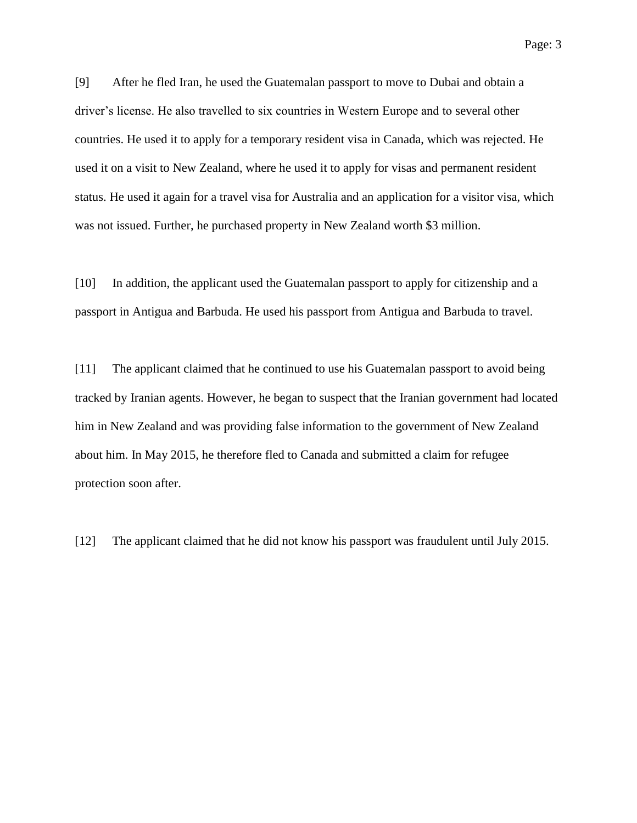[9] After he fled Iran, he used the Guatemalan passport to move to Dubai and obtain a driver's license. He also travelled to six countries in Western Europe and to several other countries. He used it to apply for a temporary resident visa in Canada, which was rejected. He used it on a visit to New Zealand, where he used it to apply for visas and permanent resident status. He used it again for a travel visa for Australia and an application for a visitor visa, which was not issued. Further, he purchased property in New Zealand worth \$3 million.

[10] In addition, the applicant used the Guatemalan passport to apply for citizenship and a passport in Antigua and Barbuda. He used his passport from Antigua and Barbuda to travel.

[11] The applicant claimed that he continued to use his Guatemalan passport to avoid being tracked by Iranian agents. However, he began to suspect that the Iranian government had located him in New Zealand and was providing false information to the government of New Zealand about him. In May 2015, he therefore fled to Canada and submitted a claim for refugee protection soon after.

[12] The applicant claimed that he did not know his passport was fraudulent until July 2015.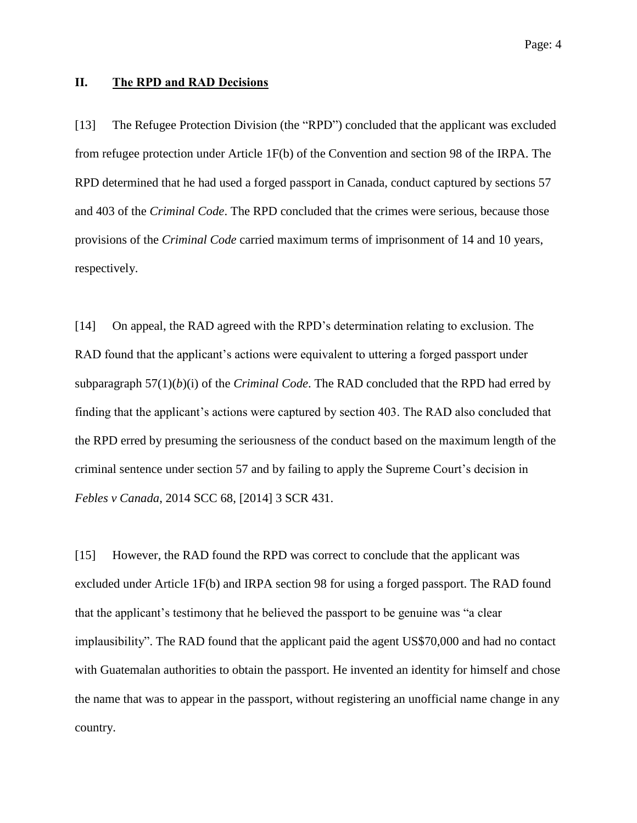### **II. The RPD and RAD Decisions**

[13] The Refugee Protection Division (the "RPD") concluded that the applicant was excluded from refugee protection under Article 1F(b) of the Convention and section 98 of the IRPA. The RPD determined that he had used a forged passport in Canada, conduct captured by sections 57 and 403 of the *Criminal Code*. The RPD concluded that the crimes were serious, because those provisions of the *Criminal Code* carried maximum terms of imprisonment of 14 and 10 years, respectively.

[14] On appeal, the RAD agreed with the RPD's determination relating to exclusion. The RAD found that the applicant's actions were equivalent to uttering a forged passport under subparagraph 57(1)(*b*)(i) of the *Criminal Code*. The RAD concluded that the RPD had erred by finding that the applicant's actions were captured by section 403. The RAD also concluded that the RPD erred by presuming the seriousness of the conduct based on the maximum length of the criminal sentence under section 57 and by failing to apply the Supreme Court's decision in *Febles v Canada*, 2014 SCC 68, [2014] 3 SCR 431.

[15] However, the RAD found the RPD was correct to conclude that the applicant was excluded under Article 1F(b) and IRPA section 98 for using a forged passport. The RAD found that the applicant's testimony that he believed the passport to be genuine was "a clear implausibility". The RAD found that the applicant paid the agent US\$70,000 and had no contact with Guatemalan authorities to obtain the passport. He invented an identity for himself and chose the name that was to appear in the passport, without registering an unofficial name change in any country.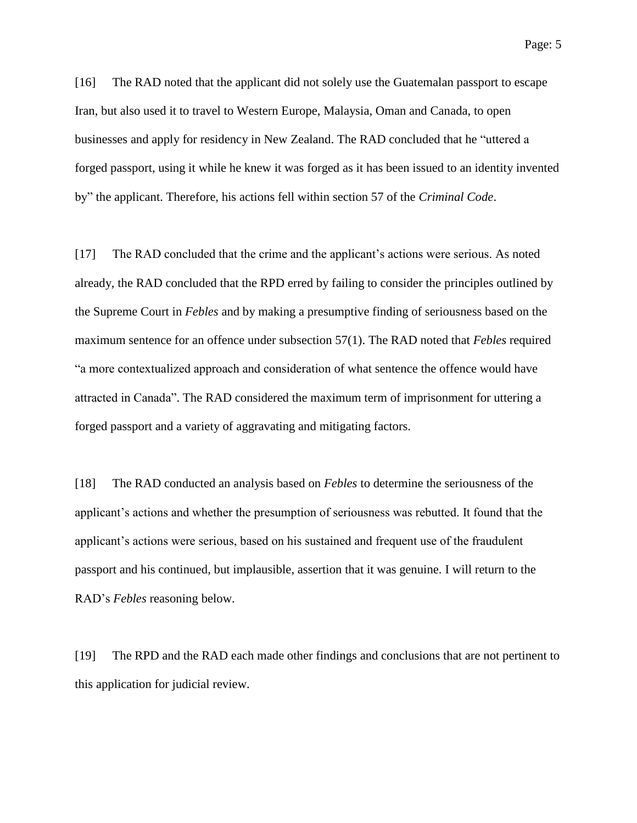Page: 5

[16] The RAD noted that the applicant did not solely use the Guatemalan passport to escape Iran, but also used it to travel to Western Europe, Malaysia, Oman and Canada, to open businesses and apply for residency in New Zealand. The RAD concluded that he "uttered a forged passport, using it while he knew it was forged as it has been issued to an identity invented by" the applicant. Therefore, his actions fell within section 57 of the *Criminal Code*.

[17] The RAD concluded that the crime and the applicant's actions were serious. As noted already, the RAD concluded that the RPD erred by failing to consider the principles outlined by the Supreme Court in *Febles* and by making a presumptive finding of seriousness based on the maximum sentence for an offence under subsection 57(1). The RAD noted that *Febles* required "a more contextualized approach and consideration of what sentence the offence would have attracted in Canada". The RAD considered the maximum term of imprisonment for uttering a forged passport and a variety of aggravating and mitigating factors.

[18] The RAD conducted an analysis based on *Febles* to determine the seriousness of the applicant's actions and whether the presumption of seriousness was rebutted. It found that the applicant's actions were serious, based on his sustained and frequent use of the fraudulent passport and his continued, but implausible, assertion that it was genuine. I will return to the RAD's *Febles* reasoning below.

[19] The RPD and the RAD each made other findings and conclusions that are not pertinent to this application for judicial review.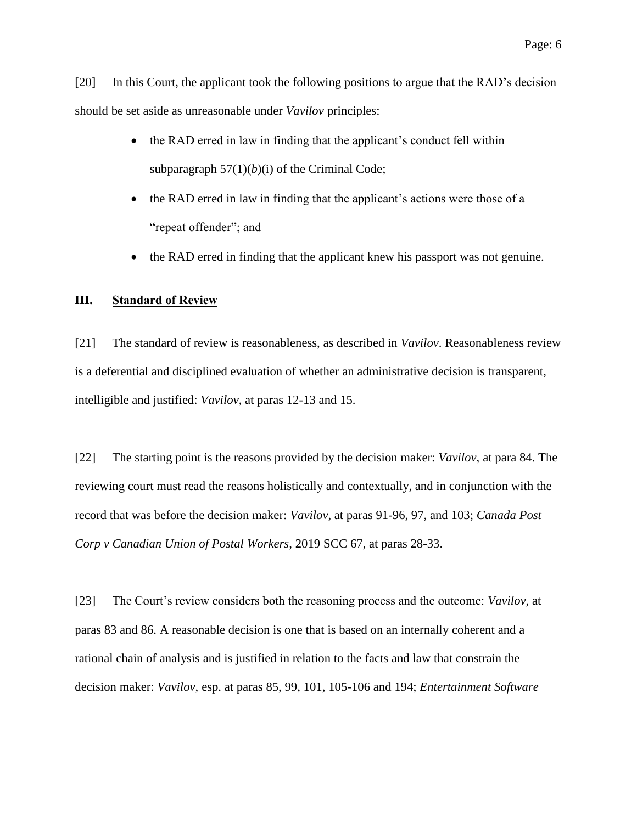[20] In this Court, the applicant took the following positions to argue that the RAD's decision should be set aside as unreasonable under *Vavilov* principles:

- the RAD erred in law in finding that the applicant's conduct fell within subparagraph  $57(1)(b)(i)$  of the Criminal Code;
- the RAD erred in law in finding that the applicant's actions were those of a "repeat offender"; and
- the RAD erred in finding that the applicant knew his passport was not genuine.

#### **III. Standard of Review**

[21] The standard of review is reasonableness, as described in *Vavilov*. Reasonableness review is a deferential and disciplined evaluation of whether an administrative decision is transparent, intelligible and justified: *Vavilov*, at paras 12-13 and 15.

[22] The starting point is the reasons provided by the decision maker: *Vavilov*, at para 84. The reviewing court must read the reasons holistically and contextually, and in conjunction with the record that was before the decision maker: *Vavilov*, at paras 91-96, 97, and 103; *Canada Post Corp v Canadian Union of Postal Workers,* 2019 SCC 67, at paras 28-33.

[23] The Court's review considers both the reasoning process and the outcome: *Vavilov*, at paras 83 and 86. A reasonable decision is one that is based on an internally coherent and a rational chain of analysis and is justified in relation to the facts and law that constrain the decision maker: *Vavilov*, esp. at paras 85, 99, 101, 105-106 and 194; *Entertainment Software*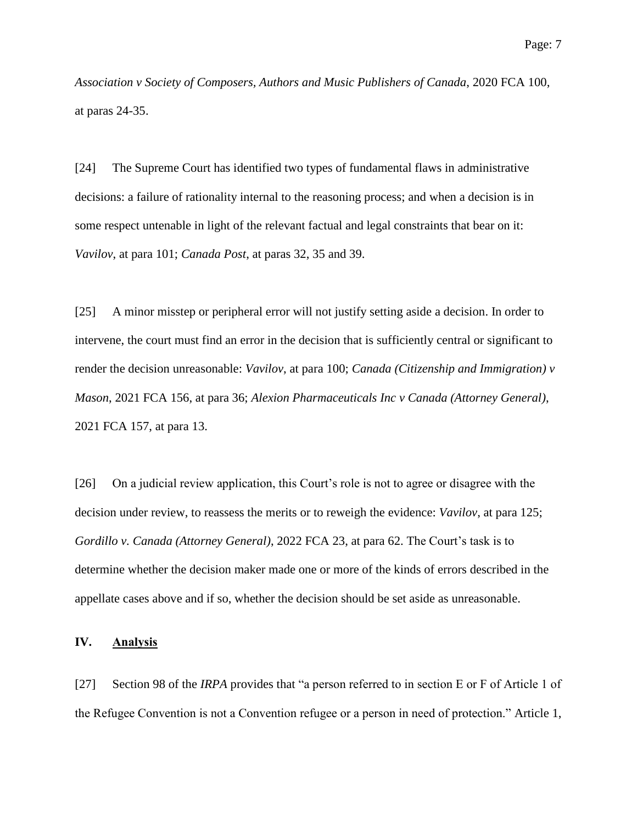*Association v Society of Composers, Authors and Music Publishers of Canada*, 2020 FCA 100, at paras 24-35.

[24] The Supreme Court has identified two types of fundamental flaws in administrative decisions: a failure of rationality internal to the reasoning process; and when a decision is in some respect untenable in light of the relevant factual and legal constraints that bear on it: *Vavilov*, at para 101; *Canada Post*, at paras 32, 35 and 39.

[25] A minor misstep or peripheral error will not justify setting aside a decision. In order to intervene, the court must find an error in the decision that is sufficiently central or significant to render the decision unreasonable: *Vavilov*, at para 100; *Canada (Citizenship and Immigration) v Mason*, 2021 FCA 156, at para 36; *Alexion Pharmaceuticals Inc v Canada (Attorney General)*, 2021 FCA 157, at para 13.

[26] On a judicial review application, this Court's role is not to agree or disagree with the decision under review, to reassess the merits or to reweigh the evidence: *Vavilov*, at para 125; *Gordillo v. Canada (Attorney General)*, 2022 FCA 23, at para 62. The Court's task is to determine whether the decision maker made one or more of the kinds of errors described in the appellate cases above and if so, whether the decision should be set aside as unreasonable.

#### **IV. Analysis**

[27] Section 98 of the *IRPA* provides that "a person referred to in section E or F of Article 1 of the Refugee Convention is not a Convention refugee or a person in need of protection." Article 1,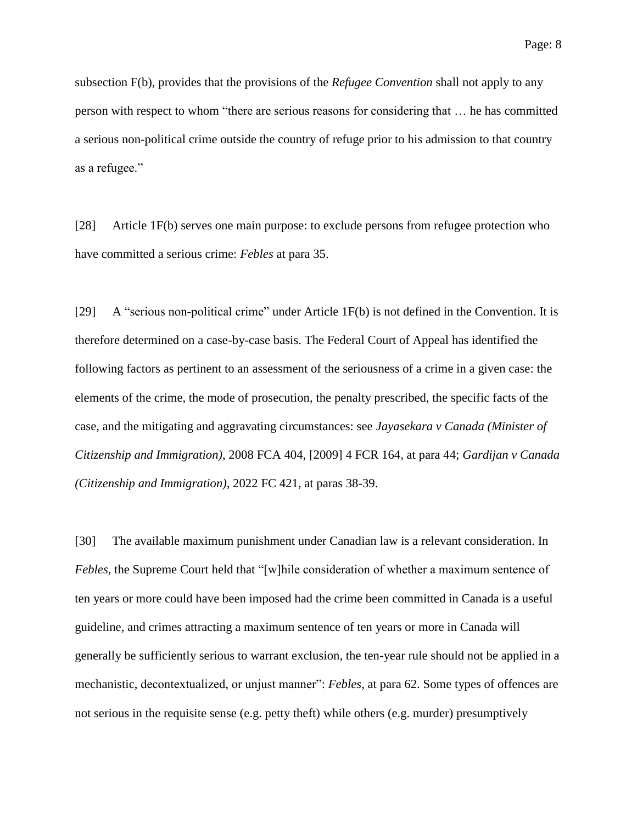subsection F(b), provides that the provisions of the *Refugee Convention* shall not apply to any person with respect to whom "there are serious reasons for considering that … he has committed a serious non-political crime outside the country of refuge prior to his admission to that country as a refugee."

[28] Article 1F(b) serves one main purpose: to exclude persons from refugee protection who have committed a serious crime: *Febles* at para 35.

[29] A "serious non-political crime" under Article 1F(b) is not defined in the Convention. It is therefore determined on a case-by-case basis. The Federal Court of Appeal has identified the following factors as pertinent to an assessment of the seriousness of a crime in a given case: the elements of the crime, the mode of prosecution, the penalty prescribed, the specific facts of the case, and the mitigating and aggravating circumstances: see *Jayasekara v Canada (Minister of Citizenship and Immigration)*, 2008 FCA 404, [2009] 4 FCR 164, at para 44; *Gardijan v Canada (Citizenship and Immigration)*, 2022 FC 421, at paras 38-39.

[30] The available maximum punishment under Canadian law is a relevant consideration. In *Febles*, the Supreme Court held that "[w]hile consideration of whether a maximum sentence of ten years or more could have been imposed had the crime been committed in Canada is a useful guideline, and crimes attracting a maximum sentence of ten years or more in Canada will generally be sufficiently serious to warrant exclusion, the ten-year rule should not be applied in a mechanistic, decontextualized, or unjust manner": *Febles*, at para 62. Some types of offences are not serious in the requisite sense (e.g. petty theft) while others (e.g. murder) presumptively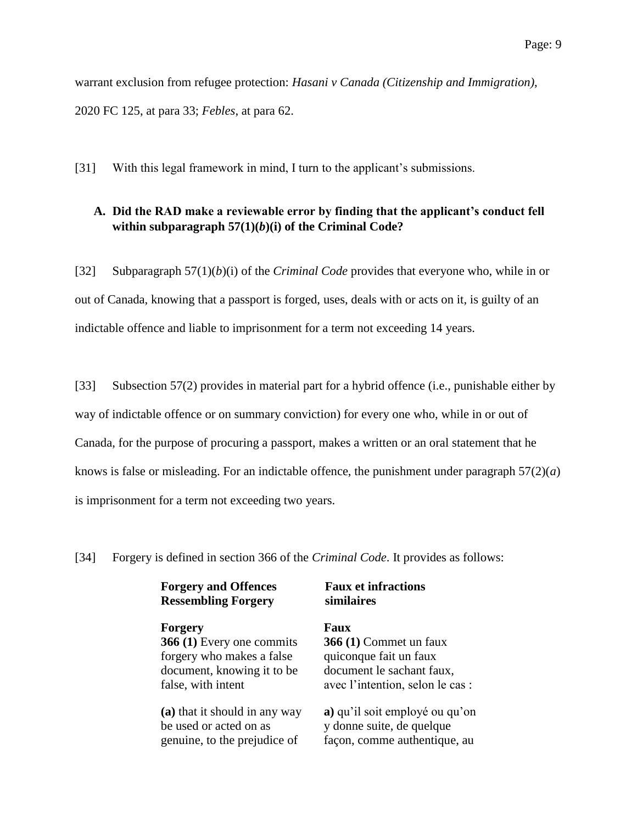warrant exclusion from refugee protection: *Hasani v Canada (Citizenship and Immigration)*, 2020 FC 125, at para 33; *Febles*, at para 62.

[31] With this legal framework in mind, I turn to the applicant's submissions.

## **A. Did the RAD make a reviewable error by finding that the applicant's conduct fell within subparagraph 57(1)(***b***)(i) of the Criminal Code?**

[32] Subparagraph 57(1)(*b*)(i) of the *Criminal Code* provides that everyone who, while in or out of Canada, knowing that a passport is forged, uses, deals with or acts on it, is guilty of an indictable offence and liable to imprisonment for a term not exceeding 14 years.

[33] Subsection 57(2) provides in material part for a hybrid offence (i.e., punishable either by way of indictable offence or on summary conviction) for every one who, while in or out of Canada, for the purpose of procuring a passport, makes a written or an oral statement that he knows is false or misleading. For an indictable offence, the punishment under paragraph  $57(2)(a)$ is imprisonment for a term not exceeding two years.

[34] Forgery is defined in section 366 of the *Criminal Code*. It provides as follows:

**Forgery and Offences Ressembling Forgery**

## **Forgery Faux**

**366 (1)** Every one commits forgery who makes a false document, knowing it to be false, with intent

**(a)** that it should in any way be used or acted on as genuine, to the prejudice of

**Faux et infractions similaires**

# **366 (1)** Commet un faux

quiconque fait un faux document le sachant faux, avec l'intention, selon le cas :

**a)** qu'il soit employé ou qu'on y donne suite, de quelque façon, comme authentique, au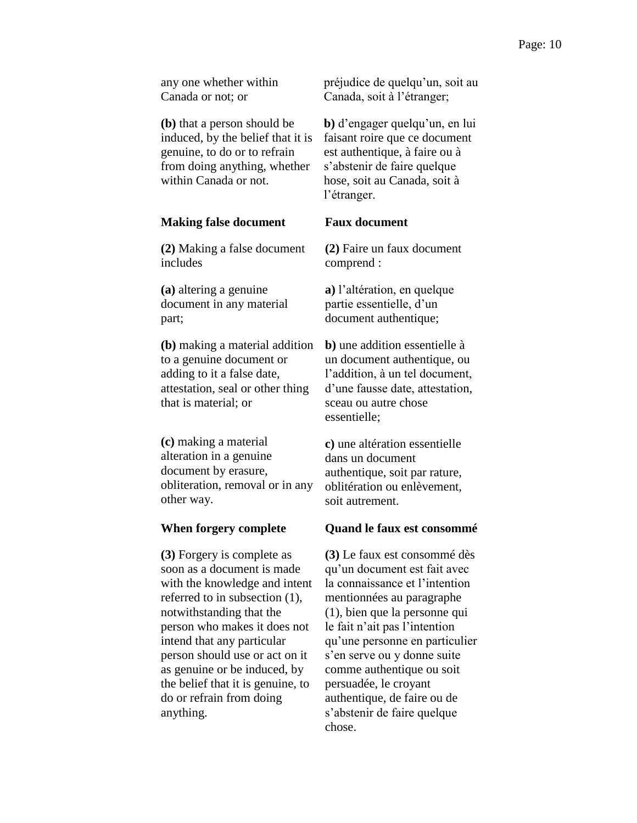any one whether within Canada or not; or

**(b)** that a person should be induced, by the belief that it is genuine, to do or to refrain from doing anything, whether within Canada or not.

#### **Making false document**

**(2)** Making a false document includes

**(a)** altering a genuine document in any material part;

**(b)** making a material addition to a genuine document or adding to it a false date, attestation, seal or other thing that is material; or

**(c)** making a material alteration in a genuine document by erasure, obliteration, removal or in any other way.

#### **When forgery complete**

**(3)** Forgery is complete as soon as a document is made with the knowledge and intent referred to in subsection (1), notwithstanding that the person who makes it does not intend that any particular person should use or act on it as genuine or be induced, by the belief that it is genuine, to do or refrain from doing anything.

préjudice de quelqu'un, soit au Canada, soit à l'étranger;

**b)** d'engager quelqu'un, en lui faisant roire que ce document est authentique, à faire ou à s'abstenir de faire quelque hose, soit au Canada, soit à l'étranger.

## **Faux document**

**(2)** Faire un faux document comprend :

**a)** l'altération, en quelque partie essentielle, d'un document authentique;

**b)** une addition essentielle à un document authentique, ou l'addition, à un tel document, d'une fausse date, attestation, sceau ou autre chose essentielle;

**c)** une altération essentielle dans un document authentique, soit par rature, oblitération ou enlèvement, soit autrement.

#### **Quand le faux est consommé**

**(3)** Le faux est consommé dès qu'un document est fait avec la connaissance et l'intention mentionnées au paragraphe (1), bien que la personne qui le fait n'ait pas l'intention qu'une personne en particulier s'en serve ou y donne suite comme authentique ou soit persuadée, le croyant authentique, de faire ou de s'abstenir de faire quelque chose.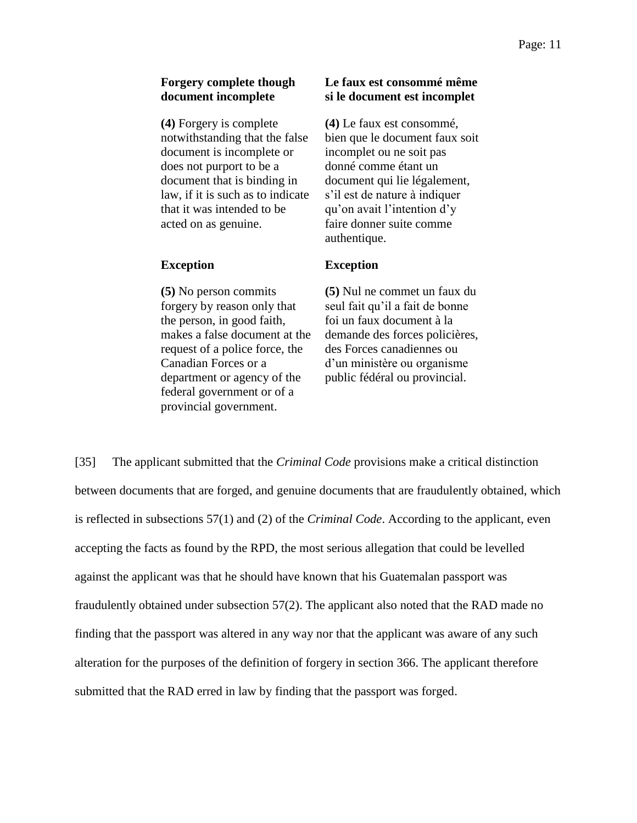#### **Forgery complete though document incomplete**

**(4)** Forgery is complete notwithstanding that the false document is incomplete or does not purport to be a document that is binding in law, if it is such as to indicate that it was intended to be acted on as genuine.

#### **Exception**

**(5)** No person commits forgery by reason only that the person, in good faith, makes a false document at the request of a police force, the Canadian Forces or a department or agency of the federal government or of a provincial government.

### **Le faux est consommé même si le document est incomplet**

**(4)** Le faux est consommé, bien que le document faux soit incomplet ou ne soit pas donné comme étant un document qui lie légalement, s'il est de nature à indiquer qu'on avait l'intention d'y faire donner suite comme authentique.

#### **Exception**

**(5)** Nul ne commet un faux du seul fait qu'il a fait de bonne foi un faux document à la demande des forces policières, des Forces canadiennes ou d'un ministère ou organisme public fédéral ou provincial.

[35] The applicant submitted that the *Criminal Code* provisions make a critical distinction between documents that are forged, and genuine documents that are fraudulently obtained, which is reflected in subsections 57(1) and (2) of the *Criminal Code*. According to the applicant, even accepting the facts as found by the RPD, the most serious allegation that could be levelled against the applicant was that he should have known that his Guatemalan passport was fraudulently obtained under subsection 57(2). The applicant also noted that the RAD made no finding that the passport was altered in any way nor that the applicant was aware of any such alteration for the purposes of the definition of forgery in section 366. The applicant therefore submitted that the RAD erred in law by finding that the passport was forged.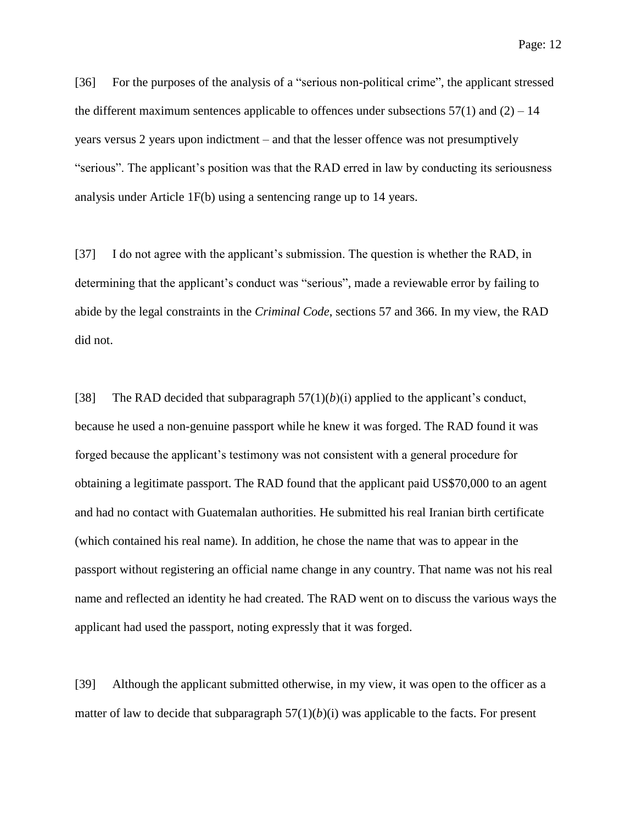[36] For the purposes of the analysis of a "serious non-political crime", the applicant stressed the different maximum sentences applicable to offences under subsections  $57(1)$  and  $(2) - 14$ years versus 2 years upon indictment – and that the lesser offence was not presumptively "serious". The applicant's position was that the RAD erred in law by conducting its seriousness

[37] I do not agree with the applicant's submission. The question is whether the RAD, in determining that the applicant's conduct was "serious", made a reviewable error by failing to abide by the legal constraints in the *Criminal Code*, sections 57 and 366. In my view, the RAD did not.

analysis under Article 1F(b) using a sentencing range up to 14 years.

[38] The RAD decided that subparagraph  $57(1)(b)(i)$  applied to the applicant's conduct, because he used a non-genuine passport while he knew it was forged. The RAD found it was forged because the applicant's testimony was not consistent with a general procedure for obtaining a legitimate passport. The RAD found that the applicant paid US\$70,000 to an agent and had no contact with Guatemalan authorities. He submitted his real Iranian birth certificate (which contained his real name). In addition, he chose the name that was to appear in the passport without registering an official name change in any country. That name was not his real name and reflected an identity he had created. The RAD went on to discuss the various ways the applicant had used the passport, noting expressly that it was forged.

[39] Although the applicant submitted otherwise, in my view, it was open to the officer as a matter of law to decide that subparagraph  $57(1)(b)(i)$  was applicable to the facts. For present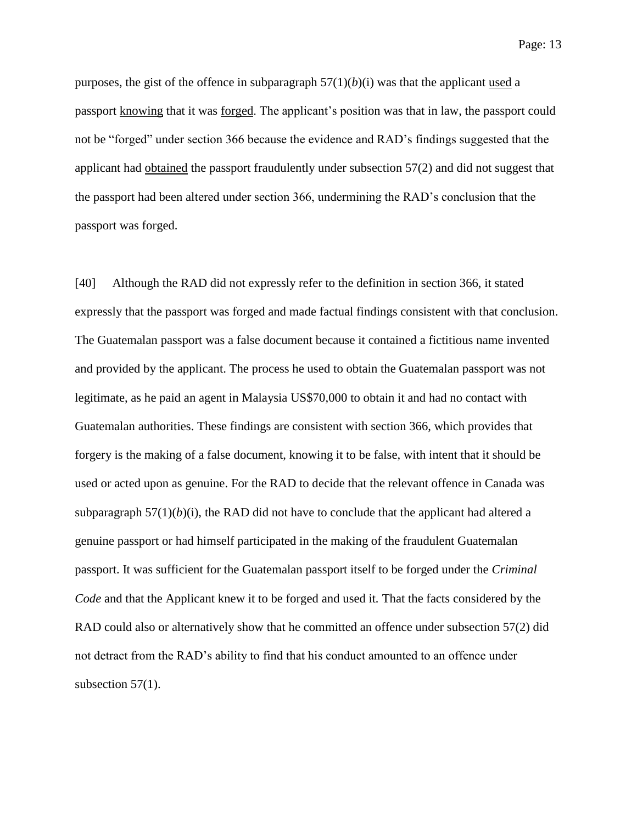Page: 13

purposes, the gist of the offence in subparagraph  $57(1)(b)(i)$  was that the applicant used a passport knowing that it was forged. The applicant's position was that in law, the passport could not be "forged" under section 366 because the evidence and RAD's findings suggested that the applicant had obtained the passport fraudulently under subsection 57(2) and did not suggest that the passport had been altered under section 366, undermining the RAD's conclusion that the passport was forged.

[40] Although the RAD did not expressly refer to the definition in section 366, it stated expressly that the passport was forged and made factual findings consistent with that conclusion. The Guatemalan passport was a false document because it contained a fictitious name invented and provided by the applicant. The process he used to obtain the Guatemalan passport was not legitimate, as he paid an agent in Malaysia US\$70,000 to obtain it and had no contact with Guatemalan authorities. These findings are consistent with section 366, which provides that forgery is the making of a false document, knowing it to be false, with intent that it should be used or acted upon as genuine. For the RAD to decide that the relevant offence in Canada was subparagraph  $57(1)(b)(i)$ , the RAD did not have to conclude that the applicant had altered a genuine passport or had himself participated in the making of the fraudulent Guatemalan passport. It was sufficient for the Guatemalan passport itself to be forged under the *Criminal Code* and that the Applicant knew it to be forged and used it*.* That the facts considered by the RAD could also or alternatively show that he committed an offence under subsection 57(2) did not detract from the RAD's ability to find that his conduct amounted to an offence under subsection 57(1).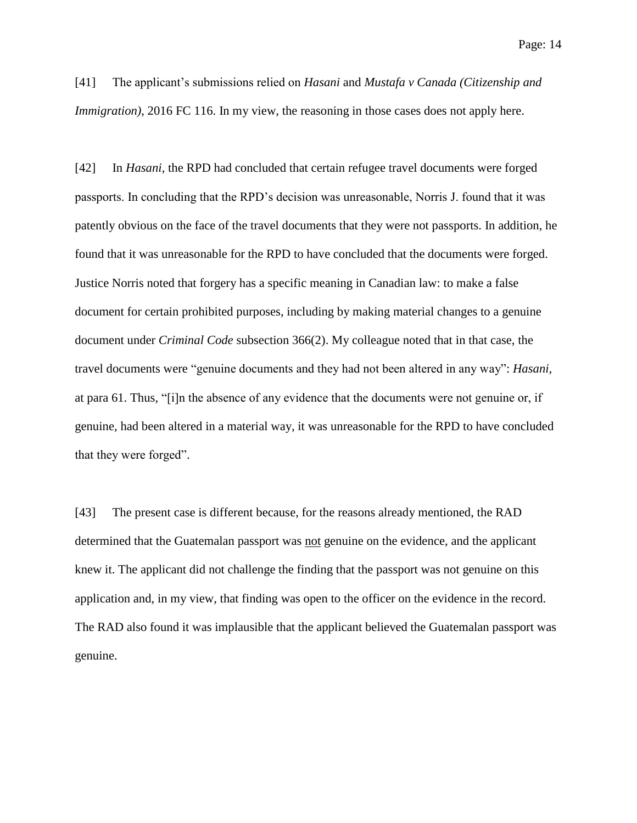[41] The applicant's submissions relied on *Hasani* and *Mustafa v Canada (Citizenship and Immigration*), 2016 FC 116. In my view, the reasoning in those cases does not apply here.

[42] In *Hasani*, the RPD had concluded that certain refugee travel documents were forged passports. In concluding that the RPD's decision was unreasonable, Norris J. found that it was patently obvious on the face of the travel documents that they were not passports. In addition, he found that it was unreasonable for the RPD to have concluded that the documents were forged. Justice Norris noted that forgery has a specific meaning in Canadian law: to make a false document for certain prohibited purposes, including by making material changes to a genuine document under *Criminal Code* subsection 366(2). My colleague noted that in that case, the travel documents were "genuine documents and they had not been altered in any way": *Hasani,* at para 61. Thus, "[i]n the absence of any evidence that the documents were not genuine or, if genuine, had been altered in a material way, it was unreasonable for the RPD to have concluded that they were forged".

[43] The present case is different because, for the reasons already mentioned, the RAD determined that the Guatemalan passport was not genuine on the evidence, and the applicant knew it. The applicant did not challenge the finding that the passport was not genuine on this application and, in my view, that finding was open to the officer on the evidence in the record. The RAD also found it was implausible that the applicant believed the Guatemalan passport was genuine.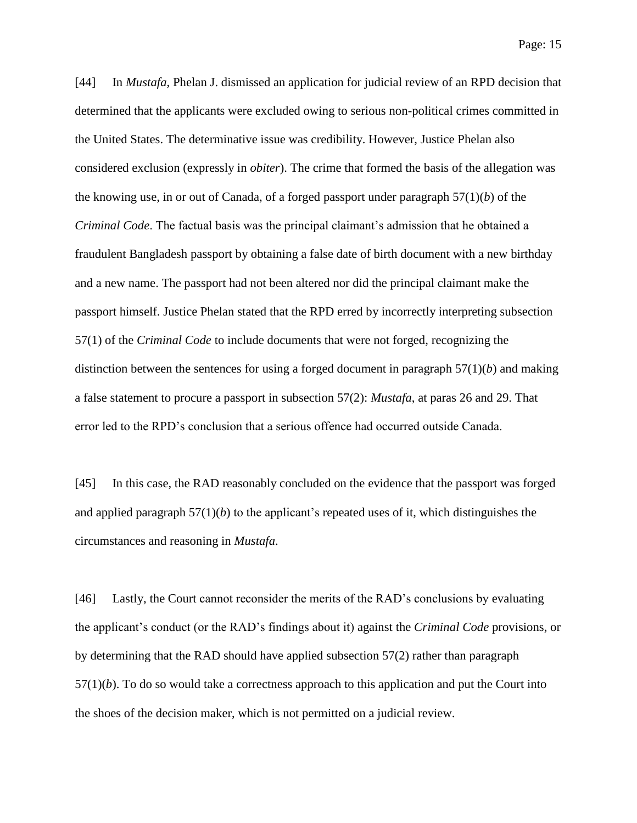[44] In *Mustafa*, Phelan J. dismissed an application for judicial review of an RPD decision that determined that the applicants were excluded owing to serious non-political crimes committed in the United States. The determinative issue was credibility. However, Justice Phelan also considered exclusion (expressly in *obiter*). The crime that formed the basis of the allegation was the knowing use, in or out of Canada, of a forged passport under paragraph 57(1)(*b*) of the *Criminal Code*. The factual basis was the principal claimant's admission that he obtained a fraudulent Bangladesh passport by obtaining a false date of birth document with a new birthday and a new name. The passport had not been altered nor did the principal claimant make the passport himself. Justice Phelan stated that the RPD erred by incorrectly interpreting subsection 57(1) of the *Criminal Code* to include documents that were not forged, recognizing the distinction between the sentences for using a forged document in paragraph 57(1)(*b*) and making a false statement to procure a passport in subsection 57(2): *Mustafa*, at paras 26 and 29. That error led to the RPD's conclusion that a serious offence had occurred outside Canada.

[45] In this case, the RAD reasonably concluded on the evidence that the passport was forged and applied paragraph  $57(1)(b)$  to the applicant's repeated uses of it, which distinguishes the circumstances and reasoning in *Mustafa*.

[46] Lastly, the Court cannot reconsider the merits of the RAD's conclusions by evaluating the applicant's conduct (or the RAD's findings about it) against the *Criminal Code* provisions, or by determining that the RAD should have applied subsection 57(2) rather than paragraph 57(1)(*b*). To do so would take a correctness approach to this application and put the Court into the shoes of the decision maker, which is not permitted on a judicial review.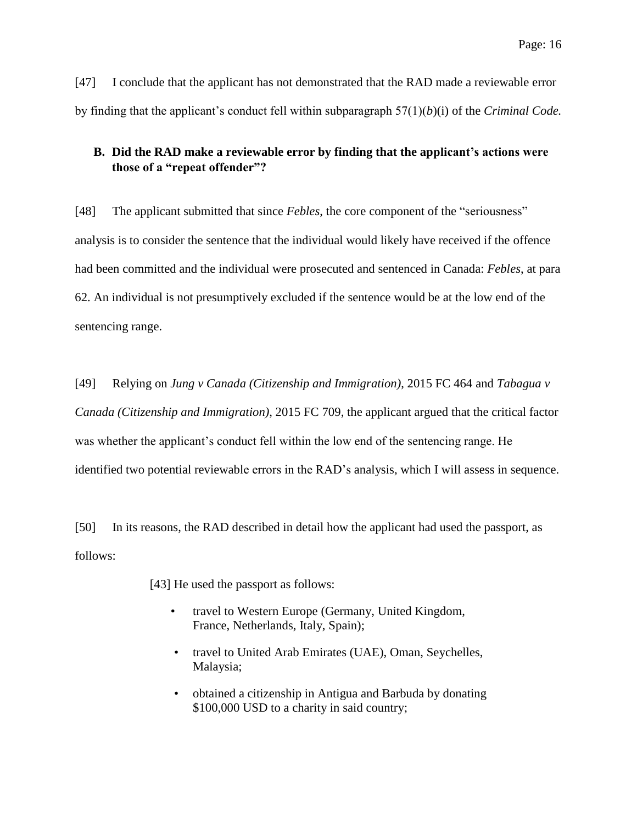[47] I conclude that the applicant has not demonstrated that the RAD made a reviewable error by finding that the applicant's conduct fell within subparagraph 57(1)(*b*)(i) of the *Criminal Code.*

## **B. Did the RAD make a reviewable error by finding that the applicant's actions were those of a "repeat offender"?**

[48] The applicant submitted that since *Febles*, the core component of the "seriousness" analysis is to consider the sentence that the individual would likely have received if the offence had been committed and the individual were prosecuted and sentenced in Canada: *Febles*, at para 62. An individual is not presumptively excluded if the sentence would be at the low end of the sentencing range.

[49] Relying on *Jung v Canada (Citizenship and Immigration)*, 2015 FC 464 and *Tabagua v Canada (Citizenship and Immigration)*, 2015 FC 709, the applicant argued that the critical factor was whether the applicant's conduct fell within the low end of the sentencing range. He identified two potential reviewable errors in the RAD's analysis, which I will assess in sequence.

[50] In its reasons, the RAD described in detail how the applicant had used the passport, as follows:

[43] He used the passport as follows:

- travel to Western Europe (Germany, United Kingdom, France, Netherlands, Italy, Spain);
- travel to United Arab Emirates (UAE), Oman, Seychelles, Malaysia;
- obtained a citizenship in Antigua and Barbuda by donating \$100,000 USD to a charity in said country;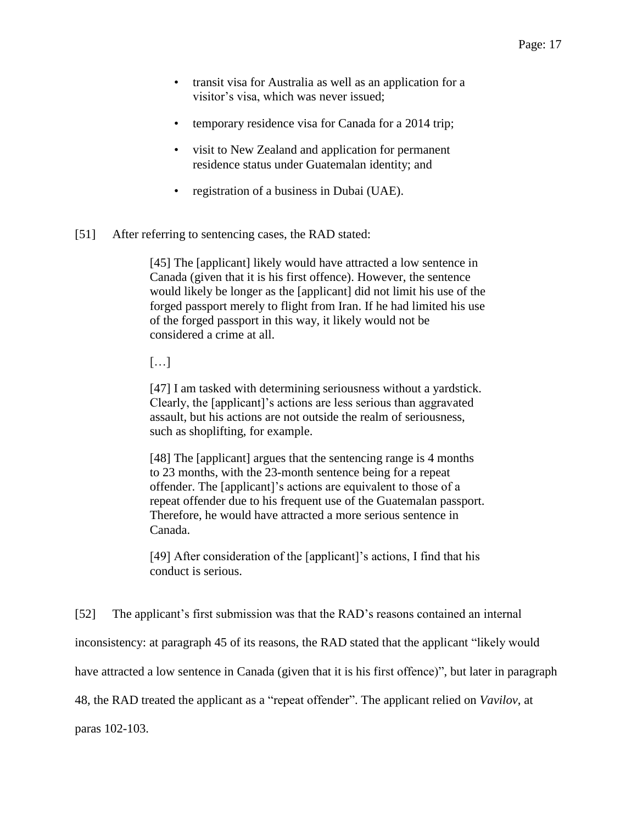- transit visa for Australia as well as an application for a visitor's visa, which was never issued;
- temporary residence visa for Canada for a 2014 trip;
- visit to New Zealand and application for permanent residence status under Guatemalan identity; and
- registration of a business in Dubai (UAE).
- [51] After referring to sentencing cases, the RAD stated:

[45] The [applicant] likely would have attracted a low sentence in Canada (given that it is his first offence). However, the sentence would likely be longer as the [applicant] did not limit his use of the forged passport merely to flight from Iran. If he had limited his use of the forged passport in this way, it likely would not be considered a crime at all.

[…]

[47] I am tasked with determining seriousness without a yardstick. Clearly, the [applicant]'s actions are less serious than aggravated assault, but his actions are not outside the realm of seriousness, such as shoplifting, for example.

[48] The [applicant] argues that the sentencing range is 4 months to 23 months, with the 23-month sentence being for a repeat offender. The [applicant]'s actions are equivalent to those of a repeat offender due to his frequent use of the Guatemalan passport. Therefore, he would have attracted a more serious sentence in Canada.

[49] After consideration of the [applicant]'s actions, I find that his conduct is serious.

[52] The applicant's first submission was that the RAD's reasons contained an internal

inconsistency: at paragraph 45 of its reasons, the RAD stated that the applicant "likely would

have attracted a low sentence in Canada (given that it is his first offence)", but later in paragraph

48, the RAD treated the applicant as a "repeat offender". The applicant relied on *Vavilov*, at

paras 102-103.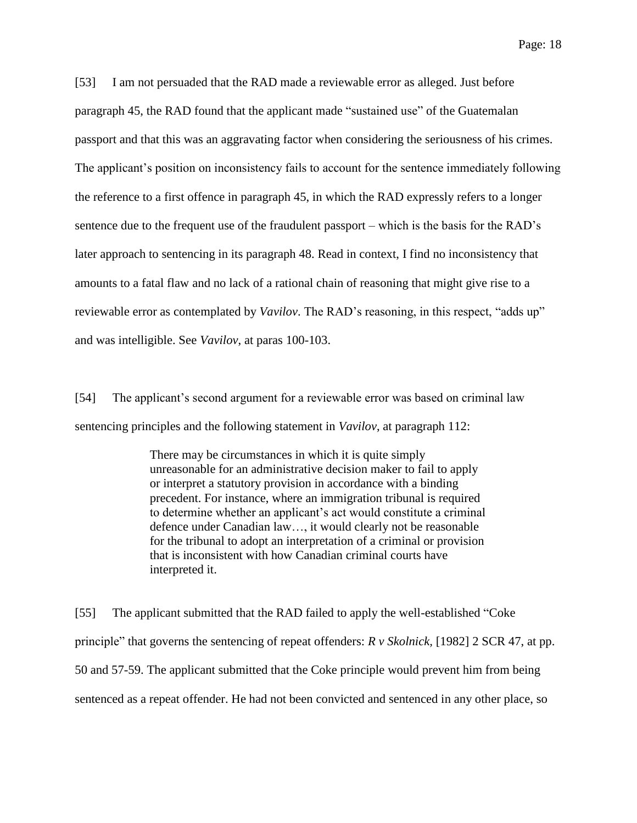[53] I am not persuaded that the RAD made a reviewable error as alleged. Just before paragraph 45, the RAD found that the applicant made "sustained use" of the Guatemalan passport and that this was an aggravating factor when considering the seriousness of his crimes. The applicant's position on inconsistency fails to account for the sentence immediately following the reference to a first offence in paragraph 45, in which the RAD expressly refers to a longer sentence due to the frequent use of the fraudulent passport – which is the basis for the RAD's later approach to sentencing in its paragraph 48. Read in context, I find no inconsistency that amounts to a fatal flaw and no lack of a rational chain of reasoning that might give rise to a reviewable error as contemplated by *Vavilov*. The RAD's reasoning, in this respect, "adds up" and was intelligible. See *Vavilov*, at paras 100-103.

[54] The applicant's second argument for a reviewable error was based on criminal law sentencing principles and the following statement in *Vavilov*, at paragraph 112:

> There may be circumstances in which it is quite simply unreasonable for an administrative decision maker to fail to apply or interpret a statutory provision in accordance with a binding precedent. For instance, where an immigration tribunal is required to determine whether an applicant's act would constitute a criminal defence under Canadian law…, it would clearly not be reasonable for the tribunal to adopt an interpretation of a criminal or provision that is inconsistent with how Canadian criminal courts have interpreted it.

[55] The applicant submitted that the RAD failed to apply the well-established "Coke principle" that governs the sentencing of repeat offenders: *R v Skolnick,* [1982] 2 SCR 47, at pp. 50 and 57-59. The applicant submitted that the Coke principle would prevent him from being sentenced as a repeat offender. He had not been convicted and sentenced in any other place, so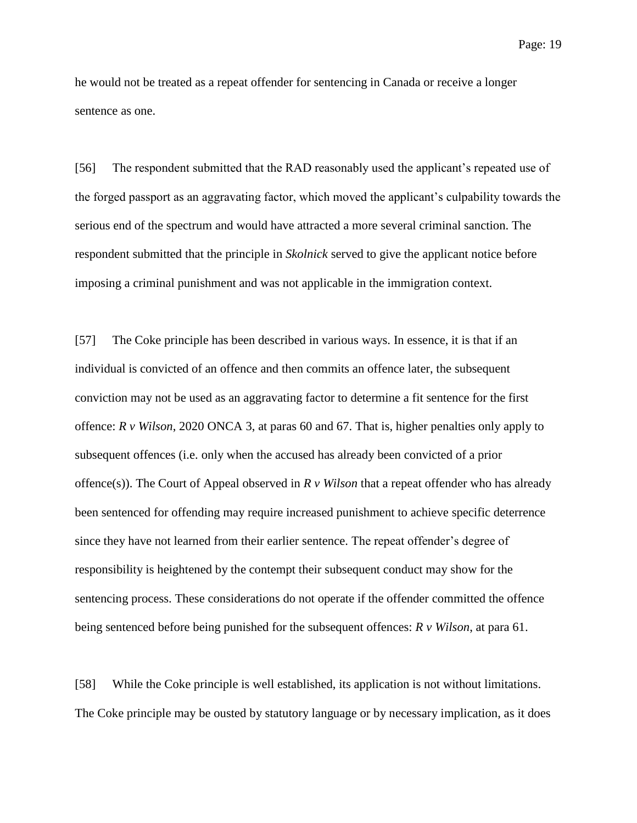Page: 19

he would not be treated as a repeat offender for sentencing in Canada or receive a longer sentence as one.

[56] The respondent submitted that the RAD reasonably used the applicant's repeated use of the forged passport as an aggravating factor, which moved the applicant's culpability towards the serious end of the spectrum and would have attracted a more several criminal sanction. The respondent submitted that the principle in *Skolnick* served to give the applicant notice before imposing a criminal punishment and was not applicable in the immigration context.

[57] The Coke principle has been described in various ways. In essence, it is that if an individual is convicted of an offence and then commits an offence later, the subsequent conviction may not be used as an aggravating factor to determine a fit sentence for the first offence: *R v Wilson*, 2020 ONCA 3, at paras 60 and 67. That is, higher penalties only apply to subsequent offences (i.e. only when the accused has already been convicted of a prior offence(s)). The Court of Appeal observed in *R v Wilson* that a repeat offender who has already been sentenced for offending may require increased punishment to achieve specific deterrence since they have not learned from their earlier sentence. The repeat offender's degree of responsibility is heightened by the contempt their subsequent conduct may show for the sentencing process. These considerations do not operate if the offender committed the offence being sentenced before being punished for the subsequent offences: *R v Wilson*, at para 61.

[58] While the Coke principle is well established, its application is not without limitations. The Coke principle may be ousted by statutory language or by necessary implication, as it does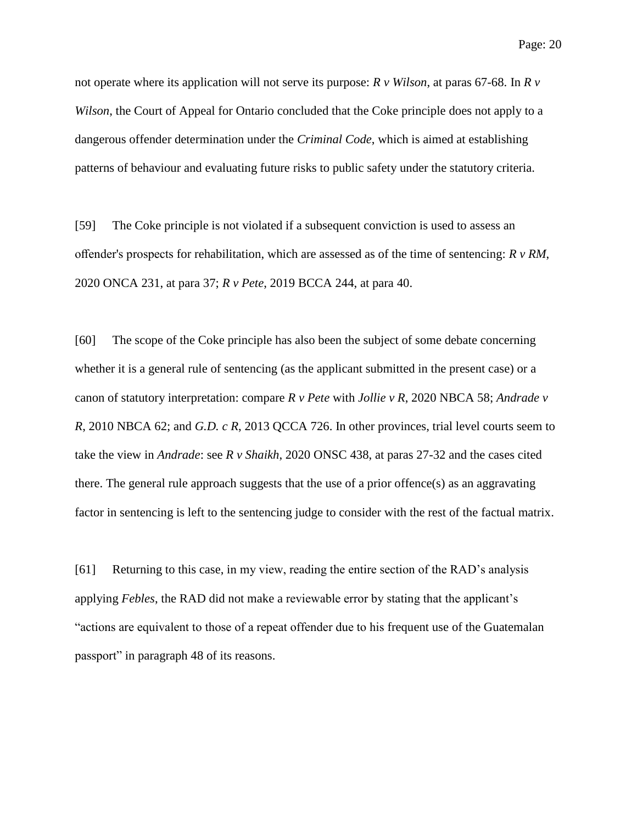not operate where its application will not serve its purpose: *R v Wilson*, at paras 67-68. In *R v Wilson*, the Court of Appeal for Ontario concluded that the Coke principle does not apply to a dangerous offender determination under the *Criminal Code*, which is aimed at establishing patterns of behaviour and evaluating future risks to public safety under the statutory criteria.

[59] The Coke principle is not violated if a subsequent conviction is used to assess an offender's prospects for rehabilitation, which are assessed as of the time of sentencing: *R v RM*, 2020 ONCA 231, at para 37; *R v Pete*, 2019 BCCA 244, at para 40.

[60] The scope of the Coke principle has also been the subject of some debate concerning whether it is a general rule of sentencing (as the applicant submitted in the present case) or a canon of statutory interpretation: compare *R v Pete* with *Jollie v R*, 2020 NBCA 58; *Andrade v R*, 2010 NBCA 62; and *G.D. c R*, 2013 QCCA 726. In other provinces, trial level courts seem to take the view in *Andrade*: see *R v Shaikh*, 2020 ONSC 438, at paras 27-32 and the cases cited there. The general rule approach suggests that the use of a prior offence(s) as an aggravating factor in sentencing is left to the sentencing judge to consider with the rest of the factual matrix.

[61] Returning to this case, in my view, reading the entire section of the RAD's analysis applying *Febles*, the RAD did not make a reviewable error by stating that the applicant's "actions are equivalent to those of a repeat offender due to his frequent use of the Guatemalan passport" in paragraph 48 of its reasons.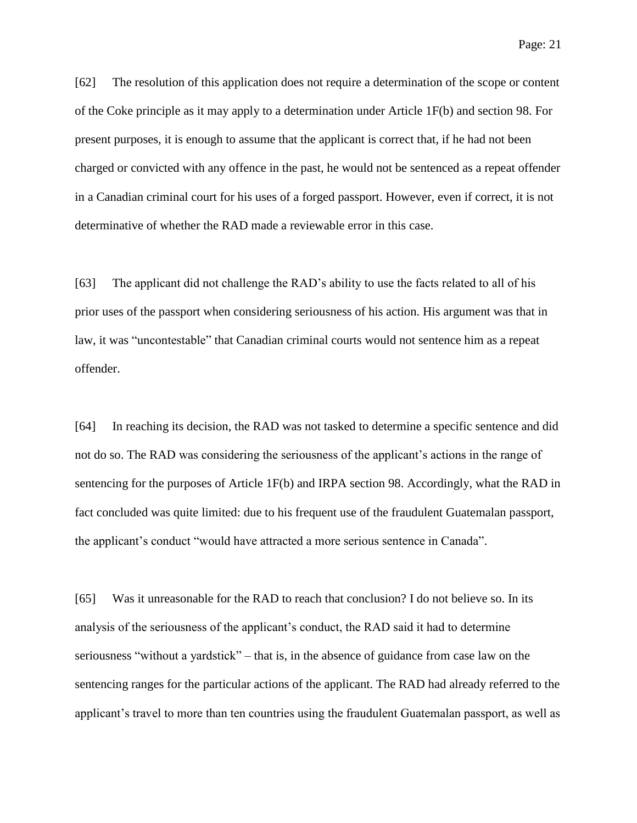[62] The resolution of this application does not require a determination of the scope or content of the Coke principle as it may apply to a determination under Article 1F(b) and section 98. For present purposes, it is enough to assume that the applicant is correct that, if he had not been charged or convicted with any offence in the past, he would not be sentenced as a repeat offender in a Canadian criminal court for his uses of a forged passport. However, even if correct, it is not determinative of whether the RAD made a reviewable error in this case.

[63] The applicant did not challenge the RAD's ability to use the facts related to all of his prior uses of the passport when considering seriousness of his action. His argument was that in law, it was "uncontestable" that Canadian criminal courts would not sentence him as a repeat offender.

[64] In reaching its decision, the RAD was not tasked to determine a specific sentence and did not do so. The RAD was considering the seriousness of the applicant's actions in the range of sentencing for the purposes of Article 1F(b) and IRPA section 98. Accordingly, what the RAD in fact concluded was quite limited: due to his frequent use of the fraudulent Guatemalan passport, the applicant's conduct "would have attracted a more serious sentence in Canada".

[65] Was it unreasonable for the RAD to reach that conclusion? I do not believe so. In its analysis of the seriousness of the applicant's conduct, the RAD said it had to determine seriousness "without a yardstick" – that is, in the absence of guidance from case law on the sentencing ranges for the particular actions of the applicant. The RAD had already referred to the applicant's travel to more than ten countries using the fraudulent Guatemalan passport, as well as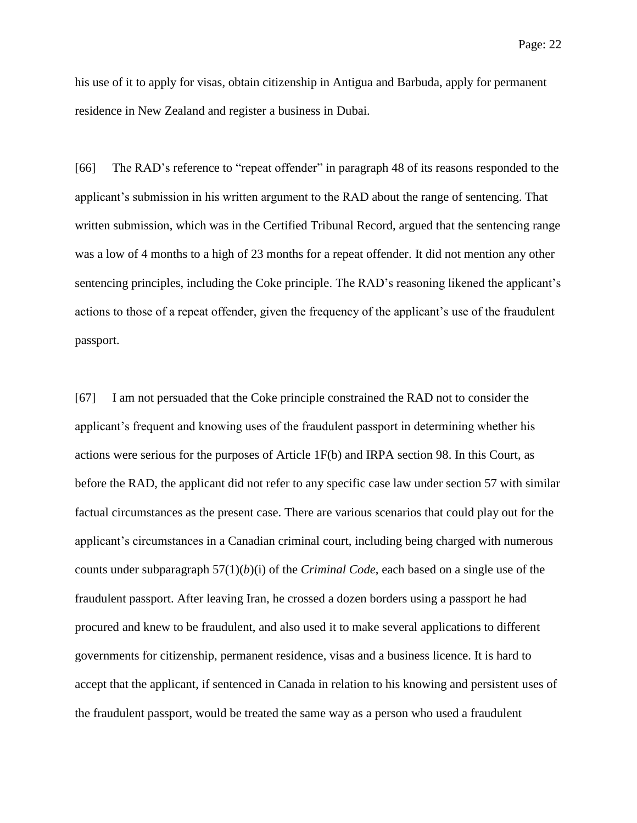his use of it to apply for visas, obtain citizenship in Antigua and Barbuda, apply for permanent residence in New Zealand and register a business in Dubai.

[66] The RAD's reference to "repeat offender" in paragraph 48 of its reasons responded to the applicant's submission in his written argument to the RAD about the range of sentencing. That written submission, which was in the Certified Tribunal Record, argued that the sentencing range was a low of 4 months to a high of 23 months for a repeat offender. It did not mention any other sentencing principles, including the Coke principle. The RAD's reasoning likened the applicant's actions to those of a repeat offender, given the frequency of the applicant's use of the fraudulent passport.

[67] I am not persuaded that the Coke principle constrained the RAD not to consider the applicant's frequent and knowing uses of the fraudulent passport in determining whether his actions were serious for the purposes of Article 1F(b) and IRPA section 98. In this Court, as before the RAD, the applicant did not refer to any specific case law under section 57 with similar factual circumstances as the present case. There are various scenarios that could play out for the applicant's circumstances in a Canadian criminal court, including being charged with numerous counts under subparagraph 57(1)(*b*)(i) of the *Criminal Code*, each based on a single use of the fraudulent passport. After leaving Iran, he crossed a dozen borders using a passport he had procured and knew to be fraudulent, and also used it to make several applications to different governments for citizenship, permanent residence, visas and a business licence. It is hard to accept that the applicant, if sentenced in Canada in relation to his knowing and persistent uses of the fraudulent passport, would be treated the same way as a person who used a fraudulent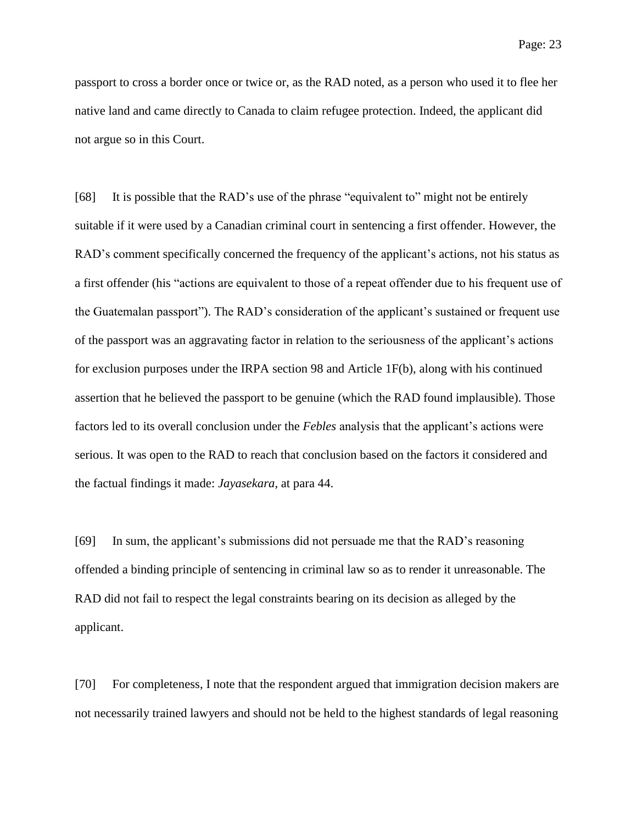passport to cross a border once or twice or, as the RAD noted, as a person who used it to flee her native land and came directly to Canada to claim refugee protection. Indeed, the applicant did not argue so in this Court.

[68] It is possible that the RAD's use of the phrase "equivalent to" might not be entirely suitable if it were used by a Canadian criminal court in sentencing a first offender. However, the RAD's comment specifically concerned the frequency of the applicant's actions, not his status as a first offender (his "actions are equivalent to those of a repeat offender due to his frequent use of the Guatemalan passport"). The RAD's consideration of the applicant's sustained or frequent use of the passport was an aggravating factor in relation to the seriousness of the applicant's actions for exclusion purposes under the IRPA section 98 and Article 1F(b), along with his continued assertion that he believed the passport to be genuine (which the RAD found implausible). Those factors led to its overall conclusion under the *Febles* analysis that the applicant's actions were serious. It was open to the RAD to reach that conclusion based on the factors it considered and the factual findings it made: *Jayasekara*, at para 44.

[69] In sum, the applicant's submissions did not persuade me that the RAD's reasoning offended a binding principle of sentencing in criminal law so as to render it unreasonable. The RAD did not fail to respect the legal constraints bearing on its decision as alleged by the applicant.

[70] For completeness, I note that the respondent argued that immigration decision makers are not necessarily trained lawyers and should not be held to the highest standards of legal reasoning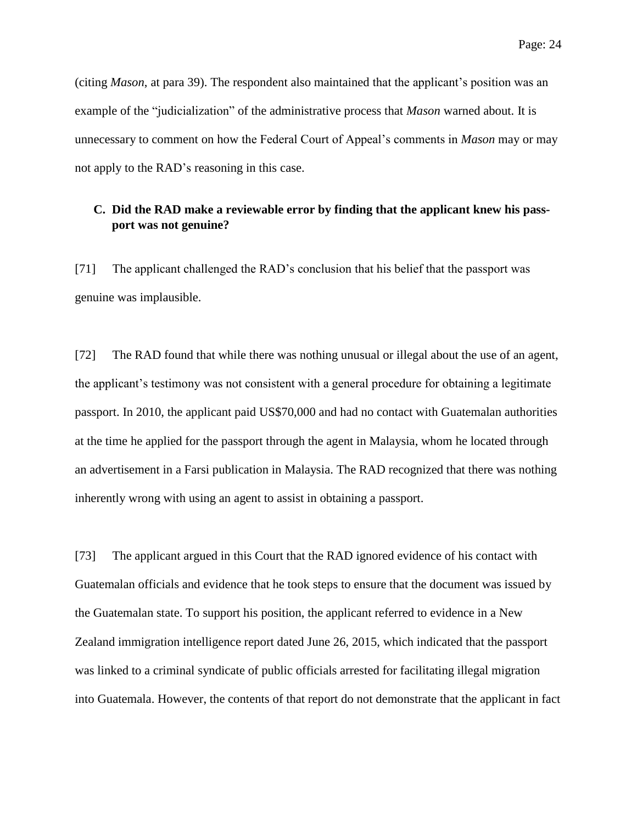(citing *Mason*, at para 39). The respondent also maintained that the applicant's position was an example of the "judicialization" of the administrative process that *Mason* warned about. It is unnecessary to comment on how the Federal Court of Appeal's comments in *Mason* may or may not apply to the RAD's reasoning in this case.

# **C. Did the RAD make a reviewable error by finding that the applicant knew his passport was not genuine?**

[71] The applicant challenged the RAD's conclusion that his belief that the passport was genuine was implausible.

[72] The RAD found that while there was nothing unusual or illegal about the use of an agent, the applicant's testimony was not consistent with a general procedure for obtaining a legitimate passport. In 2010, the applicant paid US\$70,000 and had no contact with Guatemalan authorities at the time he applied for the passport through the agent in Malaysia, whom he located through an advertisement in a Farsi publication in Malaysia. The RAD recognized that there was nothing inherently wrong with using an agent to assist in obtaining a passport.

[73] The applicant argued in this Court that the RAD ignored evidence of his contact with Guatemalan officials and evidence that he took steps to ensure that the document was issued by the Guatemalan state. To support his position, the applicant referred to evidence in a New Zealand immigration intelligence report dated June 26, 2015, which indicated that the passport was linked to a criminal syndicate of public officials arrested for facilitating illegal migration into Guatemala. However, the contents of that report do not demonstrate that the applicant in fact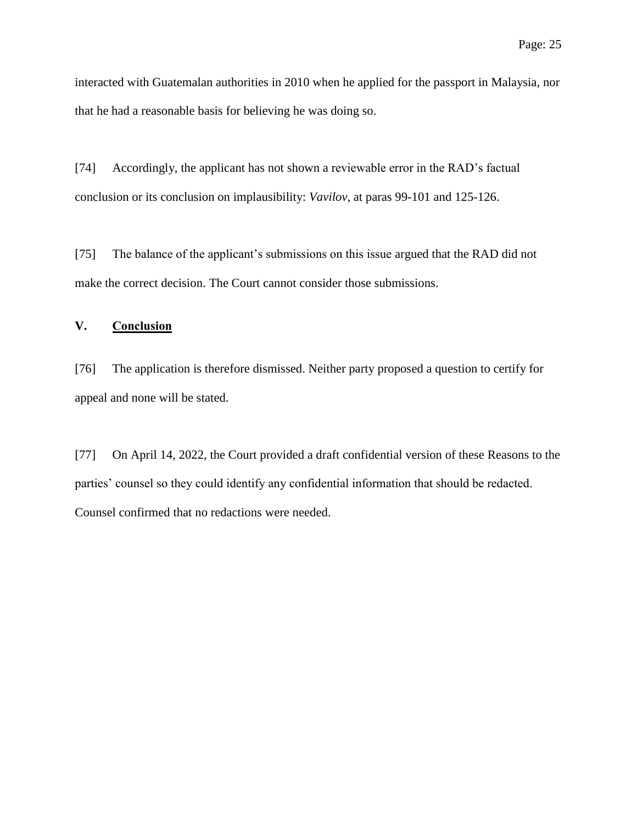interacted with Guatemalan authorities in 2010 when he applied for the passport in Malaysia, nor that he had a reasonable basis for believing he was doing so.

[74] Accordingly, the applicant has not shown a reviewable error in the RAD's factual conclusion or its conclusion on implausibility: *Vavilov*, at paras 99-101 and 125-126.

[75] The balance of the applicant's submissions on this issue argued that the RAD did not make the correct decision. The Court cannot consider those submissions.

# **V. Conclusion**

[76] The application is therefore dismissed. Neither party proposed a question to certify for appeal and none will be stated.

[77] On April 14, 2022, the Court provided a draft confidential version of these Reasons to the parties' counsel so they could identify any confidential information that should be redacted. Counsel confirmed that no redactions were needed.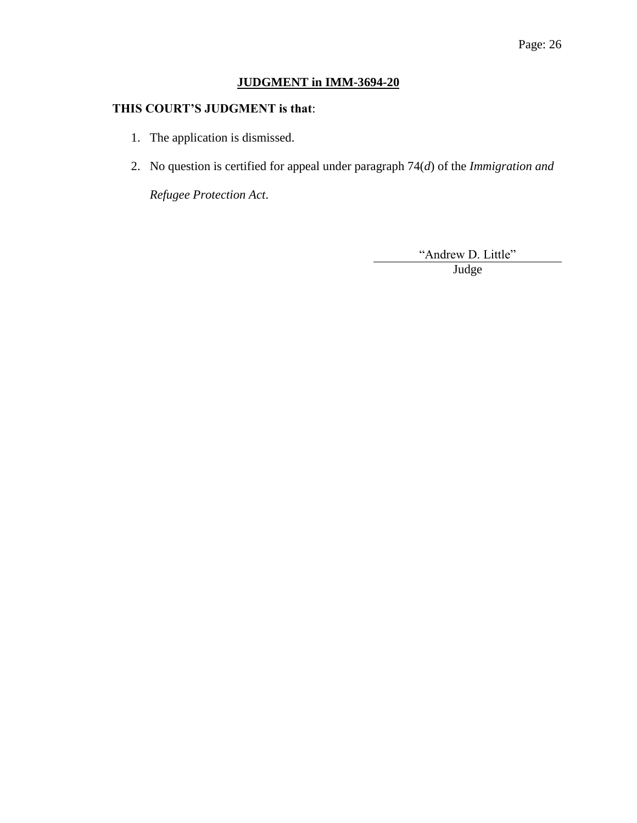# **JUDGMENT in IMM-3694-20**

# **THIS COURT'S JUDGMENT is that**:

- 1. The application is dismissed.
- 2. No question is certified for appeal under paragraph 74(*d*) of the *Immigration and*

*Refugee Protection Act*.

"Andrew D. Little"<br>Judge

Blank Judge and the state of the state of the state of the state of the state of the state of the state of the